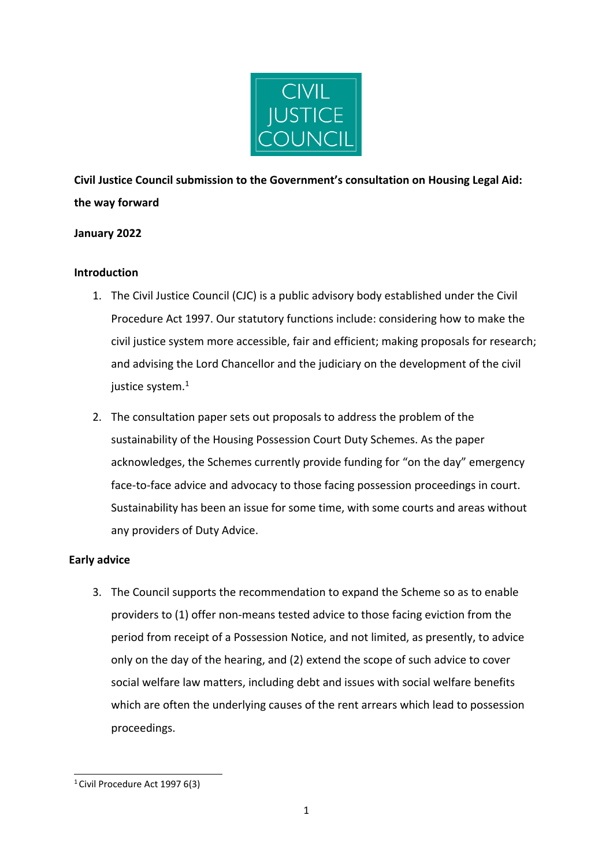

**Civil Justice Council submission to the Government's consultation on Housing Legal Aid: the way forward**

# **January 2022**

## **Introduction**

- 1. The Civil Justice Council (CJC) is a public advisory body established under the Civil Procedure Act 1997. Our statutory functions include: considering how to make the civil justice system more accessible, fair and efficient; making proposals for research; and advising the Lord Chancellor and the judiciary on the development of the civil justice system.<sup>1</sup>
- 2. The consultation paper sets out proposals to address the problem of the sustainability of the Housing Possession Court Duty Schemes. As the paper acknowledges, the Schemes currently provide funding for "on the day" emergency face-to-face advice and advocacy to those facing possession proceedings in court. Sustainability has been an issue for some time, with some courts and areas without any providers of Duty Advice.

## **Early advice**

3. The Council supports the recommendation to expand the Scheme so as to enable providers to (1) offer non-means tested advice to those facing eviction from the period from receipt of a Possession Notice, and not limited, as presently, to advice only on the day of the hearing, and (2) extend the scope of such advice to cover social welfare law matters, including debt and issues with social welfare benefits which are often the underlying causes of the rent arrears which lead to possession proceedings.

<sup>&</sup>lt;sup>1</sup> Civil Procedure Act 1997 6(3)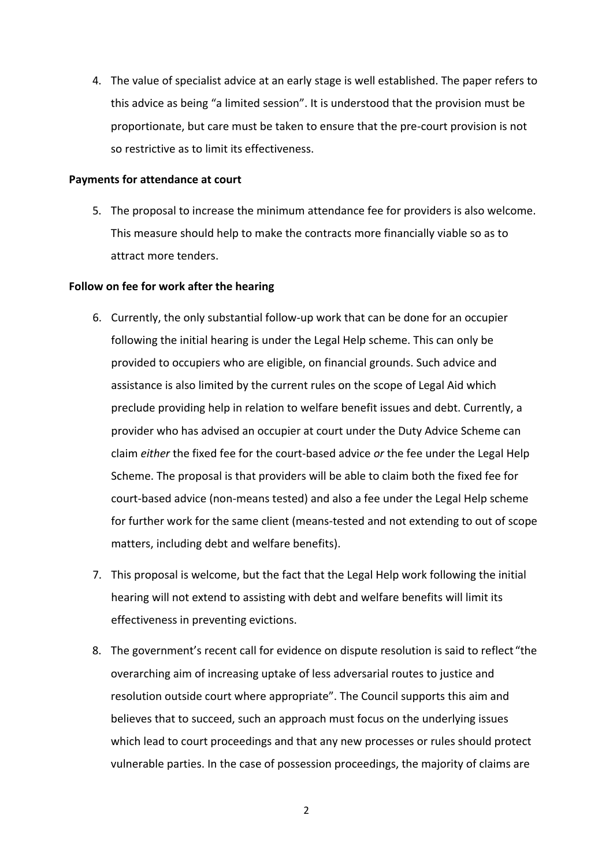4. The value of specialist advice at an early stage is well established. The paper refers to this advice as being "a limited session". It is understood that the provision must be proportionate, but care must be taken to ensure that the pre-court provision is not so restrictive as to limit its effectiveness.

### **Payments for attendance at court**

5. The proposal to increase the minimum attendance fee for providers is also welcome. This measure should help to make the contracts more financially viable so as to attract more tenders.

### **Follow on fee for work after the hearing**

- 6. Currently, the only substantial follow-up work that can be done for an occupier following the initial hearing is under the Legal Help scheme. This can only be provided to occupiers who are eligible, on financial grounds. Such advice and assistance is also limited by the current rules on the scope of Legal Aid which preclude providing help in relation to welfare benefit issues and debt. Currently, a provider who has advised an occupier at court under the Duty Advice Scheme can claim *either* the fixed fee for the court-based advice *or* the fee under the Legal Help Scheme. The proposal is that providers will be able to claim both the fixed fee for court-based advice (non-means tested) and also a fee under the Legal Help scheme for further work for the same client (means-tested and not extending to out of scope matters, including debt and welfare benefits).
- 7. This proposal is welcome, but the fact that the Legal Help work following the initial hearing will not extend to assisting with debt and welfare benefits will limit its effectiveness in preventing evictions.
- 8. The government's recent call for evidence on dispute resolution is said to reflect "the overarching aim of increasing uptake of less adversarial routes to justice and resolution outside court where appropriate". The Council supports this aim and believes that to succeed, such an approach must focus on the underlying issues which lead to court proceedings and that any new processes or rules should protect vulnerable parties. In the case of possession proceedings, the majority of claims are

2